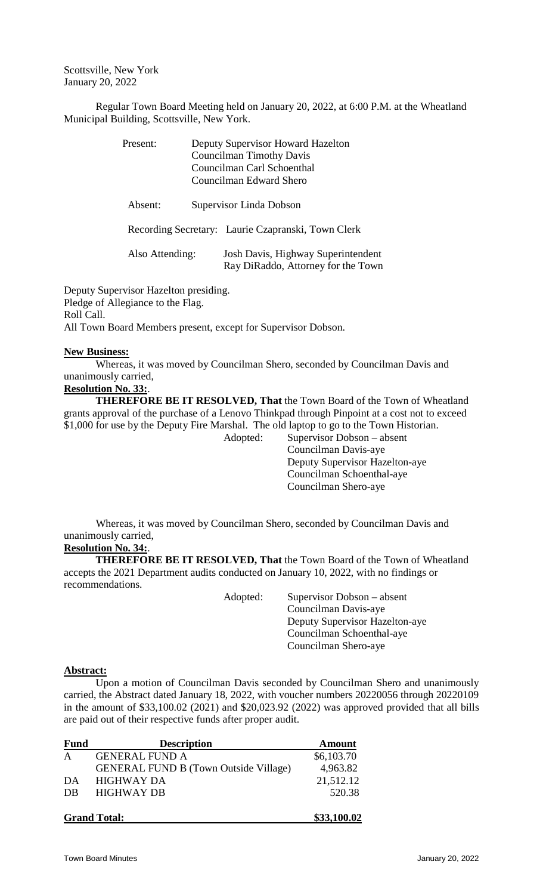Scottsville, New York January 20, 2022

Regular Town Board Meeting held on January 20, 2022, at 6:00 P.M. at the Wheatland Municipal Building, Scottsville, New York.

| Present:        | Deputy Supervisor Howard Hazelton<br><b>Councilman Timothy Davis</b><br>Councilman Carl Schoenthal<br>Councilman Edward Shero |
|-----------------|-------------------------------------------------------------------------------------------------------------------------------|
| Absent:         | Supervisor Linda Dobson                                                                                                       |
|                 | Recording Secretary: Laurie Czapranski, Town Clerk                                                                            |
| Also Attending: | Josh Davis, Highway Superintendent<br>Ray DiRaddo, Attorney for the Town                                                      |

Deputy Supervisor Hazelton presiding. Pledge of Allegiance to the Flag. Roll Call. All Town Board Members present, except for Supervisor Dobson.

## **New Business:**

Whereas, it was moved by Councilman Shero, seconded by Councilman Davis and unanimously carried,

## **Resolution No. 33:**.

**THEREFORE BE IT RESOLVED, That** the Town Board of the Town of Wheatland grants approval of the purchase of a Lenovo Thinkpad through Pinpoint at a cost not to exceed \$1,000 for use by the Deputy Fire Marshal. The old laptop to go to the Town Historian.

Adopted: Supervisor Dobson – absent Councilman Davis-aye Deputy Supervisor Hazelton-aye Councilman Schoenthal-aye Councilman Shero-aye

Whereas, it was moved by Councilman Shero, seconded by Councilman Davis and unanimously carried,

## **Resolution No. 34:**.

**THEREFORE BE IT RESOLVED, That** the Town Board of the Town of Wheatland accepts the 2021 Department audits conducted on January 10, 2022, with no findings or recommendations.

> Adopted: Supervisor Dobson – absent Councilman Davis-aye Deputy Supervisor Hazelton-aye Councilman Schoenthal-aye Councilman Shero-aye

## **Abstract:**

Upon a motion of Councilman Davis seconded by Councilman Shero and unanimously carried, the Abstract dated January 18, 2022, with voucher numbers 20220056 through 20220109 in the amount of \$33,100.02 (2021) and \$20,023.92 (2022) was approved provided that all bills are paid out of their respective funds after proper audit.

| <b>Fund</b>  | <b>Description</b>                           | <b>Amount</b> |
|--------------|----------------------------------------------|---------------|
| $\mathsf{A}$ | <b>GENERAL FUND A</b>                        | \$6,103.70    |
|              | <b>GENERAL FUND B (Town Outside Village)</b> | 4,963.82      |
| DA           | <b>HIGHWAY DA</b>                            | 21,512.12     |
| DB           | <b>HIGHWAY DB</b>                            | 520.38        |
|              | <b>Grand Total:</b>                          | \$33,100.02   |